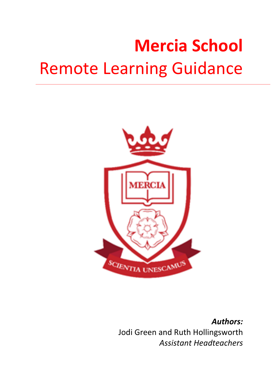# **Mercia School Remote Learning Guidance**



*Authors:* Jodi Green and Ruth Hollingsworth *Assistant Headteachers*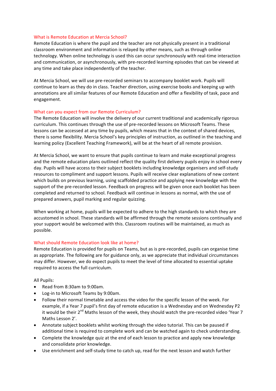## What is Remote Education at Mercia School?

Remote Education is where the pupil and the teacher are not physically present in a traditional classroom environment and information is relayed by other means, such as through online technology. When online technology is used this can occur synchronously with real-time interaction and communication, or asynchronously, with pre-recorded learning episodes that can be viewed at any time and take place independently of the teacher.

At Mercia School, we will use pre-recorded seminars to accompany booklet work. Pupils will continue to learn as they do in class. Teacher direction, using exercise books and keeping up with annotations are all similar features of our Remote Education and offer a flexibility of task, pace and engagement. 

## What can you expect from our Remote Curriculum?

The Remote Education will involve the delivery of our current traditional and academically rigorous curriculum. This continues through the use of pre-recorded lessons on Microsoft Teams. These lessons can be accessed at any time by pupils, which means that in the context of shared devices, there is some flexibility. Mercia School's key principles of instruction, as outlined in the teaching and learning policy (Excellent Teaching Framework), will be at the heart of all remote provision.

At Mercia School, we want to ensure that pupils continue to learn and make exceptional progress and the remote education plans outlined reflect the quality first delivery pupils enjoy in school every day. Pupils will have access to their subject booklets including knowledge organisers and self-study resources to compliment and support lessons. Pupils will receive clear explanations of new content which builds on previous learning, using scaffolded practice and applying new knowledge with the support of the pre-recorded lesson. Feedback on progress will be given once each booklet has been completed and returned to school. Feedback will continue in lessons as normal, with the use of prepared answers, pupil marking and regular quizzing.

When working at home, pupils will be expected to adhere to the high standards to which they are accustomed in school. These standards will be affirmed through the remote sessions continually and your support would be welcomed with this. Classroom routines will be maintained, as much as possible. 

#### What should Remote Education look like at home?

Remote Education is provided for pupils on Teams, but as is pre-recorded, pupils can organise time as appropriate. The following are for guidance only, as we appreciate that individual circumstances may differ. However, we do expect pupils to meet the level of time allocated to essential uptake required to access the full curriculum.

**All Pupils:** 

- Read from 8:30am to 9:00am.
- Log-in to Microsoft Teams by 9:00am.
- Follow their normal timetable and access the video for the specific lesson of the week. For example, if a Year 7 pupil's first day of remote education is a Wednesday and on Wednesday P2 it would be their 2<sup>nd</sup> Maths lesson of the week, they should watch the pre-recorded video 'Year 7 Maths Lesson 2'.
- Annotate subject booklets whilst working through the video tutorial. This can be paused if additional time is required to complete work and can be watched again to check understanding.
- Complete the knowledge quiz at the end of each lesson to practice and apply new knowledge and consolidate prior knowledge.
- Use enrichment and self-study time to catch up, read for the next lesson and watch further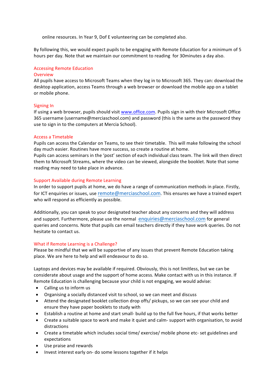online resources. In Year 9, Dof E volunteering can be completed also.

By following this, we would expect pupils to be engaging with Remote Education for a minimum of 5 hours per day. Note that we maintain our commitment to reading for 30minutes a day also.

## **Accessing Remote Education**

#### Overview

All pupils have access to Microsoft Teams when they log in to Microsoft 365. They can: download the desktop application, access Teams through a web browser or download the mobile app on a tablet or mobile phone.

## Signing In

If using a web browser, pupils should visit www.office.com. Pupils sign in with their Microsoft Office 365 username (username@merciaschool.com) and password (this is the same as the password they use to sign in to the computers at Mercia School).

## Access a Timetable

Pupils can access the Calendar on Teams, to see their timetable. This will make following the school day much easier. Routines have more success, so create a routine at home.

Pupils can access seminars in the 'post' section of each individual class team. The link will then direct them to Microsoft Streams, where the video can be viewed, alongside the booklet. Note that some reading may need to take place in advance.

## Support Available during Remote Learning

In order to support pupils at home, we do have a range of communication methods in place. Firstly, for ICT enquiries or issues, use remote@merciaschool.com. This ensures we have a trained expert who will respond as efficiently as possible.

Additionally, you can speak to your designated teacher about any concerns and they will address and support. Furthermore, please use the normal enquiries @merciaschool.com for general queries and concerns. Note that pupils can email teachers directly if they have work queries. Do not hesitate to contact us.

#### What if Remote Learning is a Challenge?

Please be mindful that we will be supportive of any issues that prevent Remote Education taking place. We are here to help and will endeavour to do so.

Laptops and devices may be available if required. Obviously, this is not limitless, but we can be considerate about usage and the support of home access. Make contact with us in this instance. If Remote Education is challenging because your child is not engaging, we would advise:

- Calling us to inform us
- Organising a socially distanced visit to school, so we can meet and discuss
- Attend the designated booklet collection drop offs/ pickups, so we can see your child and ensure they have paper booklets to study with
- Establish a routine at home and start small- build up to the full five hours, if that works better
- Create a suitable space to work and make it quiet and calm- support with organisation, to avoid distractions
- Create a timetable which includes social time/ exercise/ mobile phone etc- set guidelines and expectations
- Use praise and rewards
- Invest interest early on- do some lessons together if it helps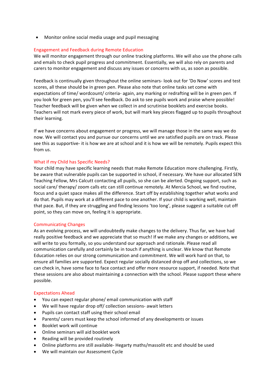• Monitor online social media usage and pupil messaging

# Engagement and Feedback during Remote Education

We will monitor engagement through our online tracking platforms. We will also use the phone calls and emails to check pupil progress and commitment. Essentially, we will also rely on parents and carers to monitor engagement and discuss any issues or concerns with us, as soon as possible.

Feedback is continually given throughout the online seminars- look out for 'Do Now' scores and test scores, all these should be in green pen. Please also note that online tasks set come with expectations of time/ wordcount/ criteria- again, any marking or redrafting will be in green pen. If you look for green pen, you'll see feedback. Do ask to see pupils work and praise where possible! Teacher feedback will be given when we collect in and scrutinise booklets and exercise books. Teachers will not mark every piece of work, but will mark key pieces flagged up to pupils throughout their learning.

If we have concerns about engagement or progress, we will manage those in the same way we do now. We will contact you and pursue our concerns until we are satisfied pupils are on track. Please see this as supportive- it is how we are at school and it is how we will be remotely. Pupils expect this from us.

## What if my Child has Specific Needs?

Your child may have specific learning needs that make Remote Education more challenging. Firstly, be aware that vulnerable pupils can be supported in school, if necessary. We have our allocated SEN Teaching Fellow, Mrs Calcutt contacting all pupils, so she can be alerted. Ongoing support, such as social care/ therapy/ zoom calls etc can still continue remotely. At Mercia School, we find routine, focus and a quiet space makes all the difference. Start off by establishing together what works and do that. Pupils may work at a different pace to one another. If your child is working well, maintain that pace. But, if they are struggling and finding lessons 'too long', please suggest a suitable cut off point, so they can move on, feeling it is appropriate.

#### Communicating Changes

As an evolving process, we will undoubtedly make changes to the delivery. Thus far, we have had really positive feedback and we appreciate that so much! If we make any changes or additions, we will write to you formally, so you understand our approach and rationale. Please read all communication carefully and certainly be in touch if anything is unclear. We know that Remote Education relies on our strong communication and commitment. We will work hard on that, to ensure all families are supported. Expect regular socially distanced drop off and collections, so we can check in, have some face to face contact and offer more resource support, if needed. Note that these sessions are also about maintaining a connection with the school. Please support these where possible.

#### Expectations Ahead

- You can expect regular phone/ email communication with staff
- We will have regular drop off/ collection sessions- await letters
- Pupils can contact staff using their school email
- Parents/ carers must keep the school informed of any developments or issues
- Booklet work will continue
- Online seminars will aid booklet work
- Reading will be provided routinely
- Online platforms are still available- Hegarty maths/massolit etc and should be used
- We will maintain our Assessment Cycle